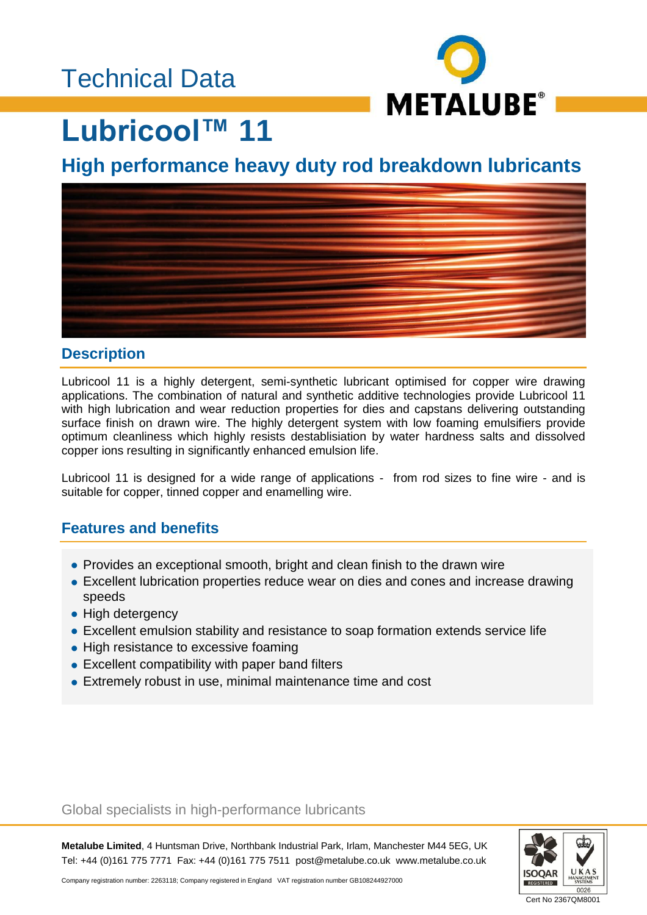# Technical Data



# **Lubricool™ 11**

## **High performance heavy duty rod breakdown lubricants**



#### **Description**

Lubricool 11 is a highly detergent, semi-synthetic lubricant optimised for copper wire drawing applications. The combination of natural and synthetic additive technologies provide Lubricool 11 with high lubrication and wear reduction properties for dies and capstans delivering outstanding surface finish on drawn wire. The highly detergent system with low foaming emulsifiers provide optimum cleanliness which highly resists destablisiation by water hardness salts and dissolved copper ions resulting in significantly enhanced emulsion life.

Lubricool 11 is designed for a wide range of applications - from rod sizes to fine wire - and is suitable for copper, tinned copper and enamelling wire.

### **Features and benefits**

- Provides an exceptional smooth, bright and clean finish to the drawn wire
- Excellent lubrication properties reduce wear on dies and cones and increase drawing speeds
- High detergency
- Excellent emulsion stability and resistance to soap formation extends service life
- High resistance to excessive foaming
- Excellent compatibility with paper band filters
- Extremely robust in use, minimal maintenance time and cost

#### Global specialists in high-performance lubricants

**Metalube Limited**, 4 Huntsman Drive, Northbank Industrial Park, Irlam, Manchester M44 5EG, UK Tel: +44 (0)161 775 7771 Fax: +44 (0)161 775 7511 post@metalube.co.uk www.metalube.co.uk



Company registration number: 2263118; Company registered in England VAT registration number GB108244927000

Cert No 2367QM8001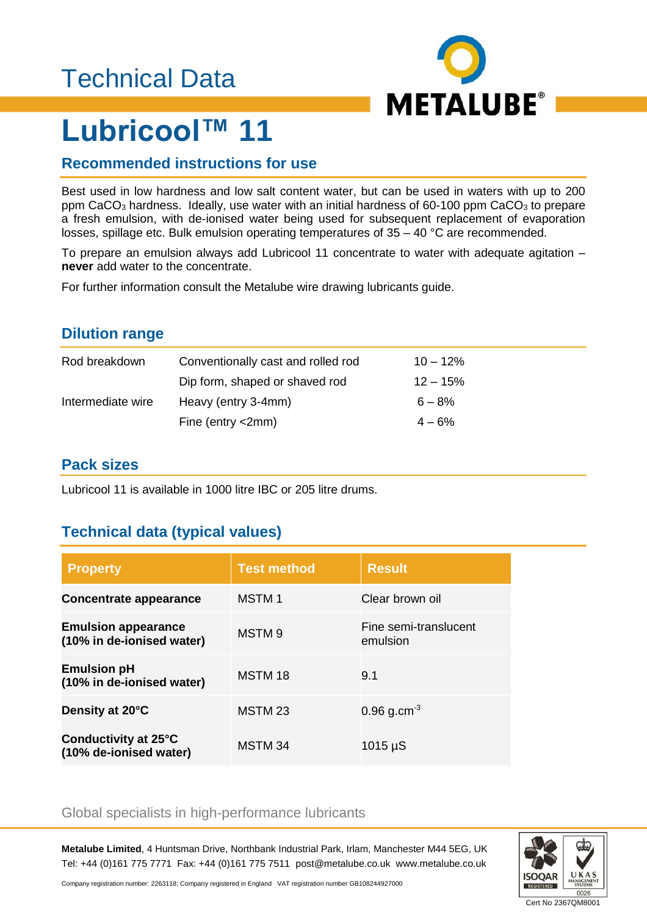# Technical Data



# **Lubricool™ 11**

### **Recommended instructions for use**

Best used in low hardness and low salt content water, but can be used in waters with up to 200 ppm CaCO<sub>3</sub> hardness. Ideally, use water with an initial hardness of 60-100 ppm CaCO<sub>3</sub> to prepare a fresh emulsion, with de-ionised water being used for subsequent replacement of evaporation losses, spillage etc. Bulk emulsion operating temperatures of 35 – 40 °C are recommended.

To prepare an emulsion always add Lubricool 11 concentrate to water with adequate agitation – **never** add water to the concentrate.

For further information consult the Metalube wire drawing lubricants guide.

#### **Dilution range**

| Rod breakdown     | Conventionally cast and rolled rod | $10 - 12\%$ |
|-------------------|------------------------------------|-------------|
|                   | Dip form, shaped or shaved rod     | $12 - 15%$  |
| Intermediate wire | Heavy (entry 3-4mm)                | $6 - 8\%$   |
|                   | Fine (entry $\langle$ 2mm)         | $4 - 6%$    |

#### **Pack sizes**

Lubricool 11 is available in 1000 litre IBC or 205 litre drums.

### **Technical data (typical values)**

| <b>Property</b>                                         | <b>Test method</b> | <b>Result</b>                     |
|---------------------------------------------------------|--------------------|-----------------------------------|
| Concentrate appearance                                  | <b>MSTM1</b>       | Clear brown oil                   |
| <b>Emulsion appearance</b><br>(10% in de-ionised water) | MSTM <sub>9</sub>  | Fine semi-translucent<br>emulsion |
| <b>Emulsion pH</b><br>(10% in de-ionised water)         | MSTM 18            | 9.1                               |
| Density at 20°C                                         | MSTM <sub>23</sub> | $0.96$ g.cm <sup>-3</sup>         |
| Conductivity at 25°C<br>(10% de-ionised water)          | MSTM 34            | $1015 \mu S$                      |

#### Global specialists in high-performance lubricants

**Metalube Limited**, 4 Huntsman Drive, Northbank Industrial Park, Irlam, Manchester M44 5EG, UK Tel: +44 (0)161 775 7771 Fax: +44 (0)161 775 7511 post@metalube.co.uk www.metalube.co.uk



Company registration number: 2263118; Company registered in England VAT registration number GB108244927000